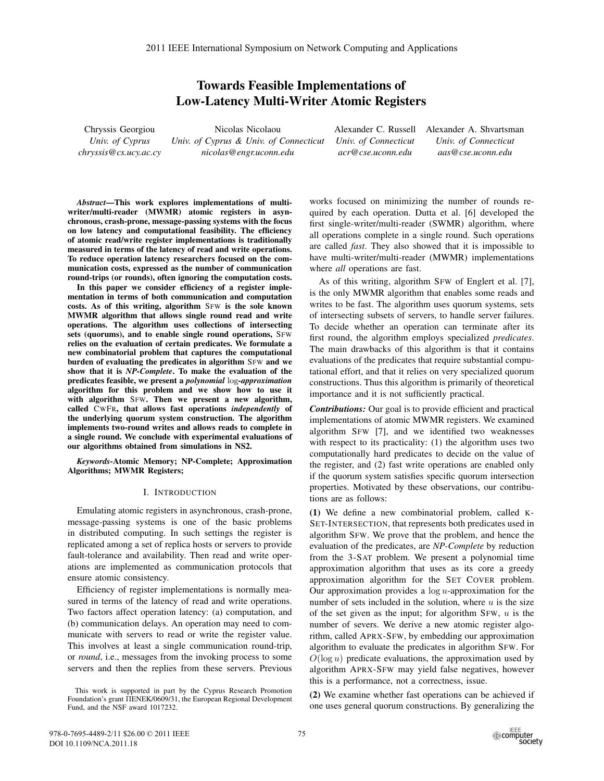# **Towards Feasible Implementations of Low-Latency Multi-Writer Atomic Registers**

Chryssis Georgiou *Univ. of Cyprus chryssis@cs.ucy.ac.cy*

Nicolas Nicolaou *Univ. of Cyprus & Univ. of Connecticut nicolas@engr.uconn.edu*

Alexander C. Russell *Univ. of Connecticut acr@cse.uconn.edu*

Alexander A. Shvartsman *Univ. of Connecticut aas@cse.uconn.edu*

*Abstract***—This work explores implementations of multiwriter/multi-reader (MWMR) atomic registers in asynchronous, crash-prone, message-passing systems with the focus on low latency and computational feasibility. The efficiency of atomic read/write register implementations is traditionally measured in terms of the latency of read and write operations. To reduce operation latency researchers focused on the communication costs, expressed as the number of communication round-trips (or rounds), often ignoring the computation costs.**

**In this paper we consider efficiency of a register implementation in terms of both communication and computation costs. As of this writing, algorithm** SFW **is the sole known MWMR algorithm that allows single round read and write operations. The algorithm uses collections of intersecting sets (quorums), and to enable single round operations,** SFW **relies on the evaluation of certain predicates. We formulate a new combinatorial problem that captures the computational burden of evaluating the predicates in algorithm** SFW **and we show that it is** *NP-Complete***. To make the evaluation of the predicates feasible, we present a** *polynomial* log*-approximation* **algorithm for this problem and we show how to use it with algorithm** SFW**. Then we present a new algorithm, called** CWFR**, that allows fast operations** *independently* **of the underlying quorum system construction. The algorithm implements two-round writes and allows reads to complete in a single round. We conclude with experimental evaluations of our algorithms obtained from simulations in NS2.**

*Keywords***-Atomic Memory; NP-Complete; Approximation Algorithms; MWMR Registers;**

## I. INTRODUCTION

Emulating atomic registers in asynchronous, crash-prone, message-passing systems is one of the basic problems in distributed computing. In such settings the register is replicated among a set of replica hosts or servers to provide fault-tolerance and availability. Then read and write operations are implemented as communication protocols that ensure atomic consistency.

Efficiency of register implementations is normally measured in terms of the latency of read and write operations. Two factors affect operation latency: (a) computation, and (b) communication delays. An operation may need to communicate with servers to read or write the register value. This involves at least a single communication round-trip, or *round*, i.e., messages from the invoking process to some servers and then the replies from these servers. Previous

This work is supported in part by the Cyprus Research Promotion Foundation's grant ΠENEK/0609/31, the European Regional Development Fund, and the NSF award 1017232.

works focused on minimizing the number of rounds required by each operation. Dutta et al. [6] developed the first single-writer/multi-reader (SWMR) algorithm, where all operations complete in a single round. Such operations are called *fast*. They also showed that it is impossible to have multi-writer/multi-reader (MWMR) implementations where *all* operations are fast.

As of this writing, algorithm SFW of Englert et al. [7], is the only MWMR algorithm that enables some reads and writes to be fast. The algorithm uses quorum systems, sets of intersecting subsets of servers, to handle server failures. To decide whether an operation can terminate after its first round, the algorithm employs specialized *predicates*. The main drawbacks of this algorithm is that it contains evaluations of the predicates that require substantial computational effort, and that it relies on very specialized quorum constructions. Thus this algorithm is primarily of theoretical importance and it is not sufficiently practical.

*Contributions:* Our goal is to provide efficient and practical implementations of atomic MWMR registers. We examined algorithm SFW [7], and we identified two weaknesses with respect to its practicality: (1) the algorithm uses two computationally hard predicates to decide on the value of the register, and (2) fast write operations are enabled only if the quorum system satisfies specific quorum intersection properties. Motivated by these observations, our contributions are as follows:

**(1)** We define a new combinatorial problem, called K-SET-INTERSECTION, that represents both predicates used in algorithm SFW. We prove that the problem, and hence the evaluation of the predicates, are *NP-Complete* by reduction from the 3-SAT problem. We present a polynomial time approximation algorithm that uses as its core a greedy approximation algorithm for the SET COVER problem. Our approximation provides a  $log u$ -approximation for the number of sets included in the solution, where  $u$  is the size of the set given as the input; for algorithm  $SFW$ ,  $u$  is the number of severs. We derive a new atomic register algorithm, called APRX-SFW, by embedding our approximation algorithm to evaluate the predicates in algorithm SFW. For  $O(\log u)$  predicate evaluations, the approximation used by algorithm APRX-SFW may yield false negatives, however this is a performance, not a correctness, issue.

**(2)** We examine whether fast operations can be achieved if one uses general quorum constructions. By generalizing the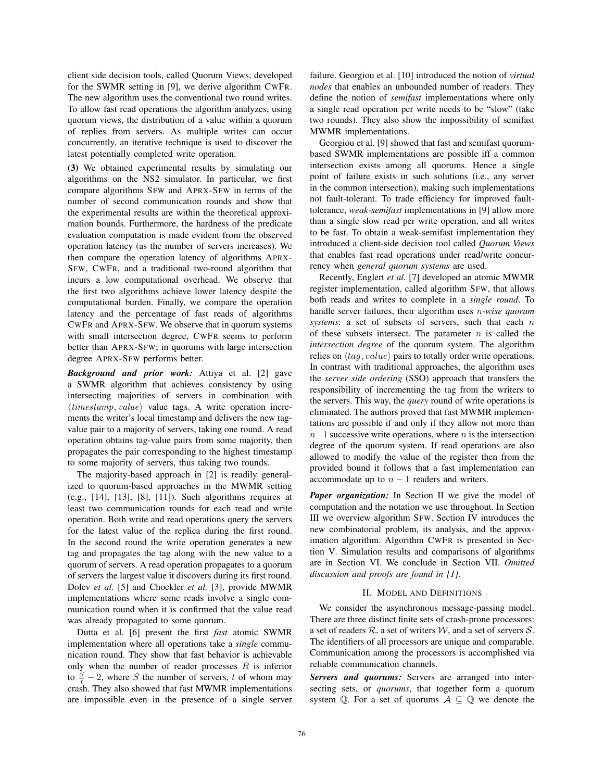client side decision tools, called Quorum Views, developed for the SWMR setting in [9], we derive algorithm CWFR. The new algorithm uses the conventional two round writes. To allow fast read operations the algorithm analyzes, using quorum views, the distribution of a value within a quorum of replies from servers. As multiple writes can occur concurrently, an iterative technique is used to discover the latest potentially completed write operation.

**(3)** We obtained experimental results by simulating our algorithms on the NS2 simulator. In particular, we first compare algorithms SFW and APRX-SFW in terms of the number of second communication rounds and show that the experimental results are within the theoretical approximation bounds. Furthermore, the hardness of the predicate evaluation computation is made evident from the observed operation latency (as the number of servers increases). We then compare the operation latency of algorithms APRX-SFW, CWFR, and a traditional two-round algorithm that incurs a low computational overhead. We observe that the first two algorithms achieve lower latency despite the computational burden. Finally, we compare the operation latency and the percentage of fast reads of algorithms CWFR and APRX-SFW. We observe that in quorum systems with small intersection degree, CWFR seems to perform better than APRX-SFW; in quorums with large intersection degree APRX-SFW performs better.

*Background and prior work:* Attiya et al. [2] gave a SWMR algorithm that achieves consistency by using intersecting majorities of servers in combination with  $\langle timestamp, value \rangle$  value tags. A write operation incre-<br>ments the writer's local timestamp and delivers the new tagments the writer's local timestamp and delivers the new tagvalue pair to a majority of servers, taking one round. A read operation obtains tag-value pairs from some majority, then propagates the pair corresponding to the highest timestamp to some majority of servers, thus taking two rounds.

The majority-based approach in [2] is readily generalized to quorum-based approaches in the MWMR setting  $(e.g., [14], [13], [8], [11])$ . Such algorithms requires at least two communication rounds for each read and write operation. Both write and read operations query the servers for the latest value of the replica during the first round. In the second round the write operation generates a new tag and propagates the tag along with the new value to a quorum of servers. A read operation propagates to a quorum of servers the largest value it discovers during its first round. Dolev *et al.* [5] and Chockler *et al.* [3], provide MWMR implementations where some reads involve a single communication round when it is confirmed that the value read was already propagated to some quorum.

Dutta et al. [6] present the first *fast* atomic SWMR implementation where all operations take a *single* communication round. They show that fast behavior is achievable only when the number of reader processes  $R$  is inferior to  $\frac{S}{t}$  – 2, where S the number of servers, t of whom may<br>crash. They also showed that fast MWMR implementations crash. They also showed that fast MWMR implementations are impossible even in the presence of a single server failure. Georgiou et al. [10] introduced the notion of *virtual nodes* that enables an unbounded number of readers. They define the notion of *semifast* implementations where only a single read operation per write needs to be "slow" (take two rounds). They also show the impossibility of semifast MWMR implementations.

Georgiou et al. [9] showed that fast and semifast quorumbased SWMR implementations are possible iff a common intersection exists among all quorums. Hence a single point of failure exists in such solutions (i.e., any server in the common intersection), making such implementations not fault-tolerant. To trade efficiency for improved faulttolerance, *weak-semifast* implementations in [9] allow more than a single slow read per write operation, and all writes to be fast. To obtain a weak-semifast implementation they introduced a client-side decision tool called *Quorum Views* that enables fast read operations under read/write concurrency when *general quorum systems* are used.

Recently, Englert *et al.* [7] developed an atomic MWMR register implementation, called algorithm SFW, that allows both reads and writes to complete in a *single round*. To handle server failures, their algorithm uses n*-wise quorum systems*: a set of subsets of servers, such that each n of these subsets intersect. The parameter  $n$  is called the *intersection degree* of the quorum system. The algorithm relies on  $\langle tag, value \rangle$  pairs to totally order write operations. In contrast with traditional approaches, the algorithm uses the *server side ordering* (SSO) approach that transfers the responsibility of incrementing the tag from the writers to the servers. This way, the *query* round of write operations is eliminated. The authors proved that fast MWMR implementations are possible if and only if they allow not more than  $n-1$  successive write operations, where n is the intersection degree of the quorum system. If read operations are also allowed to modify the value of the register then from the provided bound it follows that a fast implementation can accommodate up to  $n - 1$  readers and writers.

*Paper organization:* In Section II we give the model of computation and the notation we use throughout. In Section III we overview algorithm SFW. Section IV introduces the new combinatorial problem, its analysis, and the approximation algorithm. Algorithm CWFR is presented in Section V. Simulation results and comparisons of algorithms are in Section VI. We conclude in Section VII. *Omitted discussion and proofs are found in [1].*

#### II. MODEL AND DEFINITIONS

We consider the asynchronous message-passing model. There are three distinct finite sets of crash-prone processors: a set of readers  $\mathcal{R}$ , a set of writers  $\mathcal{W}$ , and a set of servers  $\mathcal{S}$ . The identifiers of all processors are unique and comparable. Communication among the processors is accomplished via reliable communication channels.

*Servers and quorums:* Servers are arranged into intersecting sets, or *quorums*, that together form a quorum system  $\mathbb Q$ . For a set of quorums  $A \subseteq \mathbb Q$  we denote the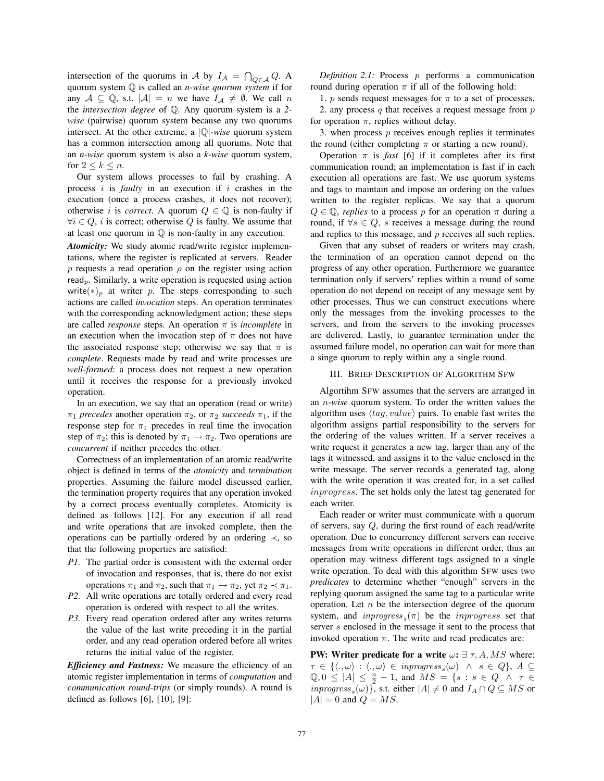intersection of the quorums in A by  $I_A = \bigcap_{Q \in A} Q$ . A quorum system Q is called an *n-wise quorum system* if for any  $A \subseteq \mathbb{Q}$ , s.t.  $|A| = n$  we have  $I_A \neq \emptyset$ . We call n the *intersection degree* of Q. Any quorum system is a *2 wise* (pairwise) quorum system because any two quorums intersect. At the other extreme, a |Q|*-wise* quorum system has a common intersection among all quorums. Note that an *n-wise* quorum system is also a *k-wise* quorum system, for  $2 \leq k \leq n$ .

Our system allows processes to fail by crashing. A process i is *faulty* in an execution if i crashes in the execution (once a process crashes, it does not recover); otherwise i is *correct*. A quorum  $Q \in \mathbb{Q}$  is non-faulty if  $\forall i \in Q$ , i is correct; otherwise Q is faulty. We assume that at least one quorum in Q is non-faulty in any execution.

*Atomicity:* We study atomic read/write register implementations, where the register is replicated at servers. Reader p requests a read operation  $\rho$  on the register using action read<sub>p</sub>. Similarly, a write operation is requested using action write(\*)<sub>p</sub> at writer p. The steps corresponding to such actions are called *invocation* steps. An operation terminates with the corresponding acknowledgment action; these steps are called *response* steps. An operation  $\pi$  is *incomplete* in an execution when the invocation step of  $\pi$  does not have the associated response step; otherwise we say that  $\pi$  is *complete*. Requests made by read and write processes are *well-formed*: a process does not request a new operation until it receives the response for a previously invoked operation.

In an execution, we say that an operation (read or write)  $\pi_1$  *precedes* another operation  $\pi_2$ , or  $\pi_2$  *succeeds*  $\pi_1$ , if the response step for  $\pi_1$  precedes in real time the invocation step of  $\pi_2$ ; this is denoted by  $\pi_1 \rightarrow \pi_2$ . Two operations are *concurrent* if neither precedes the other.

Correctness of an implementation of an atomic read/write object is defined in terms of the *atomicity* and *termination* properties. Assuming the failure model discussed earlier, the termination property requires that any operation invoked by a correct process eventually completes. Atomicity is defined as follows [12]. For any execution if all read and write operations that are invoked complete, then the operations can be partially ordered by an ordering ≺, so that the following properties are satisfied:

- *P1.* The partial order is consistent with the external order of invocation and responses, that is, there do not exist operations  $\pi_1$  and  $\pi_2$ , such that  $\pi_1 \to \pi_2$ , yet  $\pi_2 \prec \pi_1$ .
- *P2.* All write operations are totally ordered and every read operation is ordered with respect to all the writes.
- *P3.* Every read operation ordered after any writes returns the value of the last write preceding it in the partial order, and any read operation ordered before all writes returns the initial value of the register.

*Efficiency and Fastness:* We measure the efficiency of an atomic register implementation in terms of *computation* and *communication round-trips* (or simply rounds). A round is defined as follows [6], [10], [9]:

*Definition 2.1:* Process p performs a communication round during operation  $\pi$  if all of the following hold:

1. p sends request messages for  $\pi$  to a set of processes,

2. any process  $q$  that receives a request message from  $p$ for operation  $\pi$ , replies without delay.

3. when process  $p$  receives enough replies it terminates the round (either completing  $\pi$  or starting a new round).

Operation  $\pi$  is *fast* [6] if it completes after its first communication round; an implementation is fast if in each execution all operations are fast. We use quorum systems and tags to maintain and impose an ordering on the values written to the register replicas. We say that a quorum  $Q \in \mathbb{Q}$ , *replies* to a process p for an operation  $\pi$  during a round, if  $\forall s \in Q$ , s receives a message during the round and replies to this message, and  $p$  receives all such replies.

Given that any subset of readers or writers may crash, the termination of an operation cannot depend on the progress of any other operation. Furthermore we guarantee termination only if servers' replies within a round of some operation do not depend on receipt of any message sent by other processes. Thus we can construct executions where only the messages from the invoking processes to the servers, and from the servers to the invoking processes are delivered. Lastly, to guarantee termination under the assumed failure model, no operation can wait for more than a singe quorum to reply within any a single round.

## III. BRIEF DESCRIPTION OF ALGORITHM SFW

Algortihm SFW assumes that the servers are arranged in an n-*wise* quorum system. To order the written values the algorithm uses  $\langle tag, value \rangle$  pairs. To enable fast writes the algorithm assigns partial responsibility to the servers for the ordering of the values written. If a server receives a write request it generates a new tag, larger than any of the tags it witnessed, and assigns it to the value enclosed in the write message. The server records a generated tag, along with the write operation it was created for, in a set called inprogress. The set holds only the latest tag generated for each writer.

Each reader or writer must communicate with a quorum of servers, say Q, during the first round of each read/write operation. Due to concurrency different servers can receive messages from write operations in different order, thus an operation may witness different tags assigned to a single write operation. To deal with this algorithm SFW uses two *predicates* to determine whether "enough" servers in the replying quorum assigned the same tag to a particular write operation. Let  $n$  be the intersection degree of the quorum system, and  $improgress<sub>s</sub>(\pi)$  be the *inprogress* set that server s enclosed in the message it sent to the process that invoked operation  $\pi$ . The write and read predicates are:

**PW:** Writer predicate for a write  $\omega$ :  $\exists \tau, A, MS$  where:  $\tau \in \{ \langle ., \omega \rangle : \langle ., \omega \rangle \in \text{improgress}_s(\omega) \land s \in Q \}, A \subseteq \mathbb{R} \cup \{ \langle s, \omega \rangle : s \in Q \land s \in \mathbb{R} \}$  $\mathbb{Q}, 0 \leq |A| \leq \frac{n}{2} - 1$ , and  $MS = \{s : s \in Q \land \tau \in \mathbb{R} \}$  in progress  $(\omega)$ , i.e. t either  $|A| \neq 0$  and  $L_1 \cap Q \subseteq MS$  or *inprogress*<sub>s</sub> $(\omega)$ , s.t. either  $|A| \neq 0$  and  $I_A \cap Q \subseteq MS$  or  $|A| = 0$  and  $Q = MS$ .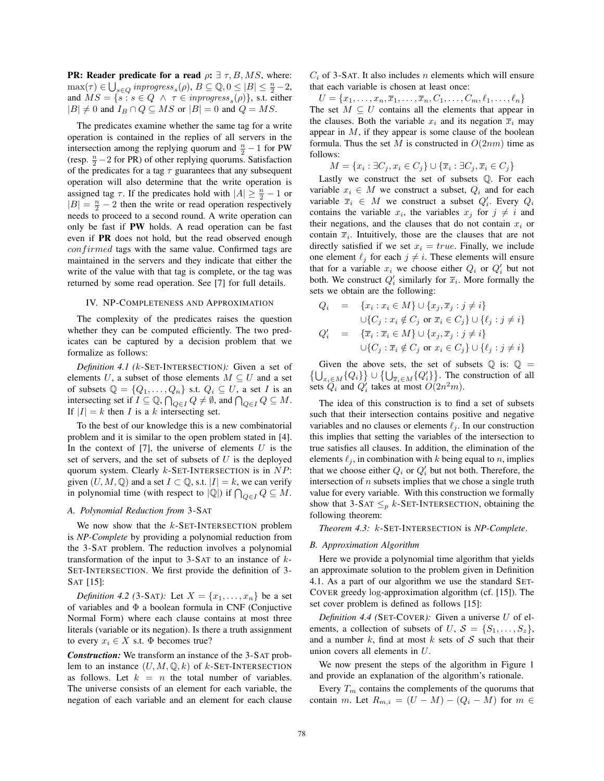**PR: Reader predicate for a read**  $\rho: \exists \tau, B, MS$ **, where:**  $\max(\tau) \in \bigcup_{s \in Q} \text{improgress}_s(\rho), B \subseteq \mathbb{Q}, 0 \leq |B| \leq \frac{n}{2} - 2,$ <br>and  $MS - \{s : s \in Q \land \tau \in \text{improgress } (\rho) \text{ s.t. either } \rho \text{ is the integer } \rho \leq \rho \}$ and  $MS = \{s : s \in Q \land \tau \in \text{improgress}_s(\rho) \}$ , s.t. either  $|B| \neq 0$  and  $I_B \cap Q \subseteq MS$  or  $|B| = 0$  and  $Q = MS$ .

The predicates examine whether the same tag for a write operation is contained in the replies of all servers in the intersection among the replying quorum and  $\frac{n}{2} - 1$  for PW<br>(resp.  $\frac{n}{2} - 2$  for PR) of other replying quorums. Satisfaction (resp.  $\frac{n}{2} - 2$  for PR) of other replying quorums. Satisfaction<br>of the predicates for a tag  $\tau$  quarantees that any subsequent of the predicates for a tag  $\tau$  guarantees that any subsequent operation will also determine that the write operation is assigned tag  $\tau$ . If the predicates hold with  $|A| \geq \frac{n}{2} - 1$  or  $|R| = \frac{n}{2} - 2$  then the write or read operation respectively  $|B| = \frac{n}{2} - 2$  then the write or read operation respectively needs to proceed to a second round. A write operation can only be fast if **PW** holds. A read operation can be fast even if **PR** does not hold, but the read observed enough  $confirmed$  tags with the same value. Confirmed tags are maintained in the servers and they indicate that either the write of the value with that tag is complete, or the tag was returned by some read operation. See [7] for full details.

## IV. NP-COMPLETENESS AND APPROXIMATION

The complexity of the predicates raises the question whether they can be computed efficiently. The two predicates can be captured by a decision problem that we formalize as follows:

*Definition 4.1 (*k-SET-INTERSECTION*):* Given a set of elements U, a subset of those elements  $M \subseteq U$  and a set of subsets  $\mathbb{Q} = \{Q_1, \ldots, Q_n\}$  s.t.  $Q_i \subseteq U$ , a set I is an intersecting set if  $I \subseteq \mathbb{Q}$ ,  $\bigcap_{Q \in I} Q \neq \emptyset$ , and  $\bigcap_{Q \in I} Q \subseteq M$ .<br>If  $|I| = k$  then I is a k intersecting set If  $|I| = k$  then I is a k intersecting set.

To the best of our knowledge this is a new combinatorial problem and it is similar to the open problem stated in [4]. In the context of  $[7]$ , the universe of elements U is the set of servers, and the set of subsets of  $U$  is the deployed quorum system. Clearly  $k$ -SET-INTERSECTION is in  $NP$ : given  $(U, M, \mathbb{Q})$  and a set  $I \subset \mathbb{Q}$ , s.t.  $|I| = k$ , we can verify in polynomial time (with respect to  $|Q|$ ) if  $\bigcap_{Q \in I} Q \subseteq M$ .

# *A. Polynomial Reduction from* 3-SAT

We now show that the  $k$ -SET-INTERSECTION problem is *NP-Complete* by providing a polynomial reduction from the 3-SAT problem. The reduction involves a polynomial transformation of the input to  $3-SAT$  to an instance of  $k$ -SET-INTERSECTION. We first provide the definition of 3- SAT [15]:

*Definition 4.2 (3-SAT):* Let  $X = \{x_1, \ldots, x_n\}$  be a set of variables and Φ a boolean formula in CNF (Conjuctive Normal Form) where each clause contains at most three literals (variable or its negation). Is there a truth assignment to every  $x_i \in X$  s.t.  $\Phi$  becomes true?

*Construction:* We transform an instance of the 3-SAT problem to an instance  $(U, M, \mathbb{Q}, k)$  of k-SET-INTERSECTION as follows. Let  $k = n$  the total number of variables. The universe consists of an element for each variable, the negation of each variable and an element for each clause  $C_i$  of 3-SAT. It also includes n elements which will ensure that each variable is chosen at least once:

 $U = \{x_1, \ldots, x_n, \overline{x}_1, \ldots, \overline{x}_n, C_1, \ldots, C_m, \ell_1, \ldots, \ell_n\}$ The set  $M \subseteq U$  contains all the elements that appear in the clauses. Both the variable  $x_i$  and its negation  $\overline{x}_i$  may appear in  $M$ , if they appear is some clause of the boolean formula. Thus the set M is constructed in  $O(2nm)$  time as follows:

$$
M = \{x_i : \exists C_j, x_i \in C_j\} \cup \{\overline{x}_i : \exists C_j, \overline{x}_i \in C_j\}
$$
  
Lastly we construct the set of subsets Q. For each

variable  $x_i \in M$  we construct a subset,  $Q_i$  and for each variable  $\overline{x}_i \in M$  we construct a subset  $Q'_i$ . Every  $Q_i$ contains the variable  $x_i$ , the variables  $x_j$  for  $j \neq i$  and their negations, and the clauses that do not contain  $x_i$  or contain  $\overline{x}_i$ . Intuitively, those are the clauses that are not directly satisfied if we set  $x_i = true$ . Finally, we include one element  $\ell_i$  for each  $j \neq i$ . These elements will ensure that for a variable  $x_i$  we choose either  $Q_i$  or  $Q'_i$  but not both. We construct  $Q'_i$  similarly for  $\overline{x}_i$ . More formally the sets we obtain are the following:

$$
Q_i = \{x_i : x_i \in M\} \cup \{x_j, \overline{x}_j : j \neq i\}
$$
  
\n
$$
\cup \{C_j : x_i \notin C_j \text{ or } \overline{x}_i \in C_j\} \cup \{\ell_j : j \neq i\}
$$
  
\n
$$
Q'_i = \{\overline{x}_i : \overline{x}_i \in M\} \cup \{x_j, \overline{x}_j : j \neq i\}
$$
  
\n
$$
\cup \{C_j : \overline{x}_i \notin C_j \text{ or } x_i \in C_j\} \cup \{\ell_j : j \neq i\}
$$

Given the above sets, the set of subsets  $\mathbb{Q}$  is:  $\mathbb{Q} = {\bigcup_{x_i \in M} {Q_i \big}} \cup {\bigcup_{\overline{x}_i \in M} {Q'_i \big}}$ . The construction of all sets  $Q_i$  and  $Q'_i$  takes at most  $O(2n^2m)$ .

The idea of this construction is to find a set of subsets such that their intersection contains positive and negative variables and no clauses or elements  $\ell_i$ . In our construction this implies that setting the variables of the intersection to true satisfies all clauses. In addition, the elimination of the elements  $\ell_j$ , in combination with k being equal to n, implies that we choose either  $Q_i$  or  $Q'_i$  but not both. Therefore, the intersection of  $n$  subsets implies that we chose a single truth value for every variable. With this construction we formally show that 3-SAT  $\leq_p k$ -SET-INTERSECTION, obtaining the following theorem:

*Theorem 4.3:* k-SET-INTERSECTION is *NP-Complete*.

# *B. Approximation Algorithm*

Here we provide a polynomial time algorithm that yields an approximate solution to the problem given in Definition 4.1. As a part of our algorithm we use the standard SET-COVER greedy log-approximation algorithm (cf. [15]). The set cover problem is defined as follows [15]:

*Definition 4.4 (*SET-COVER*):* Given a universe U of elements, a collection of subsets of U,  $S = \{S_1, \ldots, S_z\},\$ and a number  $k$ , find at most  $k$  sets of  $S$  such that their union covers all elements in U.

We now present the steps of the algorithm in Figure 1 and provide an explanation of the algorithm's rationale.

Every  $T_m$  contains the complements of the quorums that contain m. Let  $R_{m,i} = (U - M) - (Q_i - M)$  for  $m \in$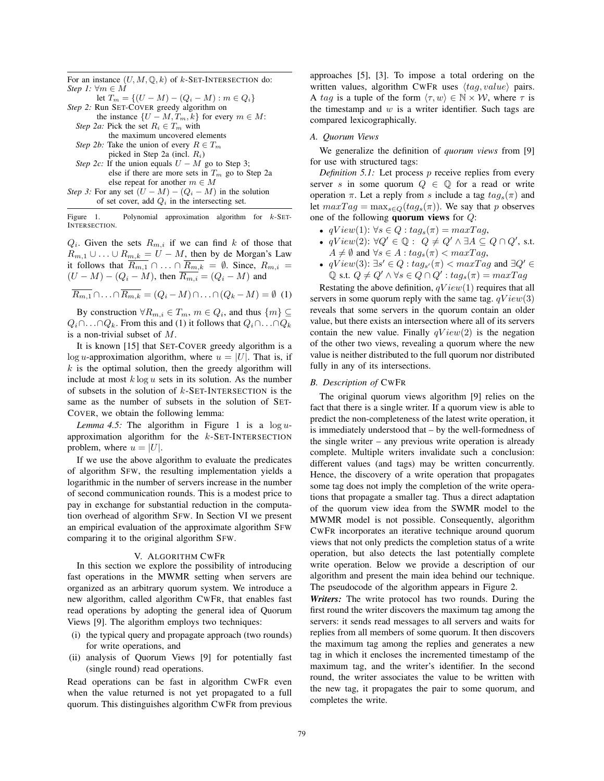For an instance  $(U, M, \mathbb{Q}, k)$  of  $k$ -SET-INTERSECTION do: *Step 1:*  $\forall m \in M$ let  $T_m = \{(U - M) - (Q_i - M) : m \in Q_i\}$ *Step 2:* Run SET-COVER greedy algorithm on the instance  $\{U - M, T_m, k\}$  for every  $m \in M$ : *Step 2a:* Pick the set  $R_i \in T_m$  with

the maximum uncovered elements *Step 2b:* Take the union of every  $R \in T_m$ 

picked in Step 2a (incl.  $R_i$ )

*Step 2c:* If the union equals  $U - M$  go to Step 3; else if there are more sets in  $T_m$  go to Step 2a else repeat for another  $m \in M$ *Step 3:* For any set  $(U - M) - (Q_i - M)$  in the solution

of set cover, add  $Q_i$  in the intersecting set.

Figure 1. Polynomial approximation algorithm for  $k$ -SET-INTERSECTION.

 $Q_i$ . Given the sets  $R_{m,i}$  if we can find k of those that  $R_{m,1} \cup \ldots \cup R_{m,k} = U - M$ , then by de Morgan's Law<br>it follows that  $R_{m,n} \cap R_{m,n} = \emptyset$ . Since  $R_{m,n} = \emptyset$ it follows that  $R_{m,1} \cap ... \cap R_{m,k} = \emptyset$ . Since,  $R_{m,i} = (I - M) - (O - M)$  then  $R_{m,i} = (O - M)$  and  $(U - M) - (Q_i - M)$ , then  $\overline{R_{m,i}} = (Q_i - M)$  and

$$
\overline{R_{m,1}} \cap \ldots \cap \overline{R_{m,k}} = (Q_i - M) \cap \ldots \cap (Q_k - M) = \emptyset \tag{1}
$$

By construction  $\forall R_{m,i} \in T_m$ ,  $m \in Q_i$ , and thus  $\{m\} \subseteq$  $Q_i \cap \ldots \cap Q_k$ . From this and (1) it follows that  $Q_i \cap \ldots \cap Q_k$ is a non-trivial subset of M.

It is known [15] that SET-COVER greedy algorithm is a log *u*-approximation algorithm, where  $u = |U|$ . That is, if  $k$  is the optimal solution, then the greedy algorithm will include at most  $k \log u$  sets in its solution. As the number of subsets in the solution of  $k$ -SET-INTERSECTION is the same as the number of subsets in the solution of SET-COVER, we obtain the following lemma:

*Lemma 4.5:* The algorithm in Figure 1 is a  $\log u$ approximation algorithm for the  $k$ -SET-INTERSECTION problem, where  $u = |U|$ .

If we use the above algorithm to evaluate the predicates of algorithm SFW, the resulting implementation yields a logarithmic in the number of servers increase in the number of second communication rounds. This is a modest price to pay in exchange for substantial reduction in the computation overhead of algorithm SFW. In Section VI we present an empirical evaluation of the approximate algorithm SFW comparing it to the original algorithm SFW.

#### V. ALGORITHM CWFR

In this section we explore the possibility of introducing fast operations in the MWMR setting when servers are organized as an arbitrary quorum system. We introduce a new algorithm, called algorithm CWFR, that enables fast read operations by adopting the general idea of Quorum Views [9]. The algorithm employs two techniques:

- (i) the typical query and propagate approach (two rounds) for write operations, and
- (ii) analysis of Quorum Views [9] for potentially fast (single round) read operations.

Read operations can be fast in algorithm CWFR even when the value returned is not yet propagated to a full quorum. This distinguishes algorithm CWFR from previous approaches [5], [3]. To impose a total ordering on the written values, algorithm CWFR uses  $\langle tag, value \rangle$  pairs. A tag is a tuple of the form  $\langle \tau, w \rangle \in \mathbb{N} \times \mathcal{W}$ , where  $\tau$  is the timestamp and  $w$  is a writer identifier. Such tags are compared lexicographically.

## *A. Quorum Views*

We generalize the definition of *quorum views* from [9] for use with structured tags:

*Definition 5.1:* Let process *p* receive replies from every server s in some quorum  $Q \in \mathbb{Q}$  for a read or write operation  $\pi$ . Let a reply from s include a tag  $tag_s(\pi)$  and let  $maxTag = max_{s \in Q}(tag_s(\pi))$ . We say that p observes one of the following **quorum views** for Q:

- $qView(1): \forall s \in Q : tag_s(\pi) = maxTag,$
- $qView(2): \forall Q' \in \mathbb{Q}: Q \neq Q' \land \exists A \subseteq Q \cap Q', \text{ s.t.}$ <br>  $A \neq \emptyset$  and  $\forall s \in A : t a \in (\pi) < maxTag$  $A \neq \emptyset$  and  $\forall s \in A : tag_s(\pi) < maxTag_s$ ,
- $qView(3): \exists s' \in Q : tag_{s'}(\pi) < maxTag \text{ and } \exists Q' \in \mathbb{Q}$ <br>  $\mathbb{Q} \text{ s.t } Q \neq Q' \land \forall s \in Q \cap Q' : tag_{\pi}(m) = maxTag$ Q s.t.  $Q \neq Q' \land \forall s \in Q \cap Q' : tag_s(\pi) = maxTag$

Restating the above definition,  $qView(1)$  requires that all servers in some quorum reply with the same tag.  $qView(3)$ reveals that some servers in the quorum contain an older value, but there exists an intersection where all of its servers contain the new value. Finally  $qView(2)$  is the negation of the other two views, revealing a quorum where the new value is neither distributed to the full quorum nor distributed fully in any of its intersections.

### *B. Description of* CWFR

The original quorum views algorithm [9] relies on the fact that there is a single writer. If a quorum view is able to predict the non-completeness of the latest write operation, it is immediately understood that – by the well-formedness of the single writer – any previous write operation is already complete. Multiple writers invalidate such a conclusion: different values (and tags) may be written concurrently. Hence, the discovery of a write operation that propagates some tag does not imply the completion of the write operations that propagate a smaller tag. Thus a direct adaptation of the quorum view idea from the SWMR model to the MWMR model is not possible. Consequently, algorithm CWFR incorporates an iterative technique around quorum views that not only predicts the completion status of a write operation, but also detects the last potentially complete write operation. Below we provide a description of our algorithm and present the main idea behind our technique. The pseudocode of the algorithm appears in Figure 2.

*Writers:* The write protocol has two rounds. During the first round the writer discovers the maximum tag among the servers: it sends read messages to all servers and waits for replies from all members of some quorum. It then discovers the maximum tag among the replies and generates a new tag in which it encloses the incremented timestamp of the maximum tag, and the writer's identifier. In the second round, the writer associates the value to be written with the new tag, it propagates the pair to some quorum, and completes the write.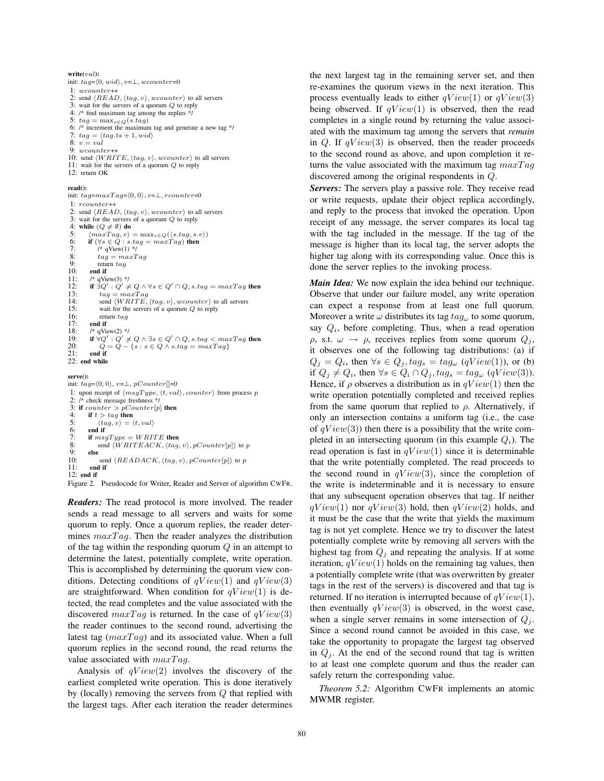#### **write(**val**):**

init:  $tag=(0, wid), v=\perp, wcounter=0$ 1: wcounter++ 2: send  $\langle READ, \langle tag, v \rangle$ ,  $wcounter \rangle$  to all servers 3: wait for the servers of a quorum Q to reply 4: /\* find maximum tag among the replies \*/ 5:  $tag = \max_{s \in Q}(s.tag)$ 6: /\* increment the maximum tag and generate a new tag \*/ 7:  $tag = \langle tag.ts + 1, wid \rangle$ 8:  $v = val$ 9: wcounter++ 10: send  $\langle WRITE, \langle tag, v \rangle, wcounter \rangle$  to all servers 11: wait for the servers of a quorum Q to reply 12: return OK

#### **read():**

init:  $tag=maxTag=(0,0), v=\perp,أcounter=0$  $1:$  requirement 2: send  $\langle READ, \langle tag, v \rangle$ , wcounter  $\rangle$  to all servers<br>3: wait for the servers of a quorum  $\Omega$  to reply wait for the servers of a quorum  $Q$  to reply 4: **while**  $(Q \neq \emptyset)$  **do** 5:  $\langle maxTag, v \rangle = \max_{s \in Q} (\langle s, tag, s, v \rangle)$ <br>6: if  $(\forall s \in Q : s, taq = maxTag)$  then 6: **if**  $(\forall s \in Q : s.tag = maxTag)$  **then**<br>7. **i**\* aView(1) \*/ 7:  $\int^* qV$ iew(1) \*/<br>8:  $taq = maxT$ 8:  $tag = maxTag$ <br>9.  $tag = maxTag$ 9: return  $tag$ <br>10: **end if** 10: **end if**<br>11:  $\frac{1}{2}$   $\frac{1}{2}$   $\frac{1}{2}$   $\frac{1}{2}$   $\frac{1}{2}$   $\frac{1}{2}$ 11:  $\frac{1}{2}$  /\* qView(3) \*/<br>12: **if**  $\exists Q' : Q' =$ 12: **if**  $\exists Q' : Q' \neq Q \land \forall s \in Q' \cap Q$ , s.tag = maxTag **then** 13:  $tag = maxTag$ <br>14:  $\qquad \qquad \text{send } \langle WRITE \rangle$ 14: send  $\langle WRITE, \langle tag, v \rangle, wcounter \rangle$  to all servers<br>15: wait for the servers of a quorum O to reply 15: wait for the servers of a quorum  $Q$  to reply 16: return  $taq$ 16: return  $tag$ <br>17. end if 17: **end if**<br>18:  $\frac{1}{8}$   $\frac{1}{8}$   $\frac{1}{8}$   $\frac{1}{16}$ 18:  $\frac{1}{8}$  /\* qView(2) \*/<br>19: **if**  $\forall Q' : Q' \neq$ 19: **if**  $\forall Q': Q' \neq Q \land \exists s \in Q' \cap Q, s.tag < maxTag$  then<br>20:  $Q = Q - \{s : s \in Q \land s.tag = maxTag\}$ 21: **end if** 22: **end while**

#### **serve():**

init:  $tag=\langle 0, 0 \rangle$ ,  $v=\perp$ , pCounter[]=0 1: upon receipt of  $\langle msgType, \langle t, val \rangle, counter \rangle$  from process p 2: /\* check message freshness \*/ 3: **if** counter  $\geq pCounter[p]$  **then**<br>4: **if**  $t > \text{ta}$  **then** if  $t > tag$  then 5:  $\langle tag, v \rangle = \langle t, val \rangle$ <br>6: **end if** 6: **end if**  $7 \cdot$  **if**  $msc$ 7: **if**  $msgType = WRITE$  **then**<br>8: **send**  $\langle WRITEACK, \langle taa \rangle$ 8: send  $\langle \text{W} \text{RITEACK}, \langle \text{tag}, v \rangle, \text{pCounter}[p] \rangle$  to p<br>9: 9: **else** 10: send  $\langle READACK, \langle tag, v \rangle, pCounter[p] \rangle$  to p<br>11: end if 11: **end if** 12: **end if**

Figure 2. Pseudocode for Writer, Reader and Server of algorithm CWFR.

*Readers:* The read protocol is more involved. The reader sends a read message to all servers and waits for some quorum to reply. Once a quorum replies, the reader determines  $maxTag$ . Then the reader analyzes the distribution of the tag within the responding quorum  $Q$  in an attempt to determine the latest, potentially complete, write operation. This is accomplished by determining the quorum view conditions. Detecting conditions of  $qView(1)$  and  $qView(3)$ are straightforward. When condition for  $qView(1)$  is detected, the read completes and the value associated with the discovered  $maxTag$  is returned. In the case of  $qView(3)$ the reader continues to the second round, advertising the latest tag  $(maxTag)$  and its associated value. When a full quorum replies in the second round, the read returns the value associated with  $maxTag$ .

Analysis of  $qView(2)$  involves the discovery of the earliest completed write operation. This is done iteratively by (locally) removing the servers from  $Q$  that replied with the largest tags. After each iteration the reader determines the next largest tag in the remaining server set, and then re-examines the quorum views in the next iteration. This process eventually leads to either  $qView(1)$  or  $qView(3)$ being observed. If  $qView(1)$  is observed, then the read completes in a single round by returning the value associated with the maximum tag among the servers that *remain* in Q. If  $qView(3)$  is observed, then the reader proceeds to the second round as above, and upon completion it returns the value associated with the maximum tag  $maxTag$ discovered among the original respondents in Q.

*Servers:* The servers play a passive role. They receive read or write requests, update their object replica accordingly, and reply to the process that invoked the operation. Upon receipt of any message, the server compares its local tag with the tag included in the message. If the tag of the message is higher than its local tag, the server adopts the higher tag along with its corresponding value. Once this is done the server replies to the invoking process.

*Main Idea:* We now explain the idea behind our technique. Observe that under our failure model, any write operation can expect a response from at least one full quorum. Moreover a write  $\omega$  distributes its tag  $tag_{\omega}$  to some quorum, say  $Q_i$ , before completing. Thus, when a read operation ρ, s.t.  $ω \rightarrow ρ$ , receives replies from some quorum  $Q_i$ , it observes one of the following tag distributions: (a) if  $Q_j = Q_i$ , then  $\forall s \in Q_j, tag_s = tag_\omega$  (qView(1)), or (b) if  $Q_j \neq Q_i$ , then  $\forall s \in Q_i \cap Q_j$ ,  $tag_s = tag_\omega$  (qView(3)). Hence, if  $\rho$  observes a distribution as in  $qView(1)$  then the write operation potentially completed and received replies from the same quorum that replied to  $\rho$ . Alternatively, if only an intersection contains a uniform tag (i.e., the case of  $qView(3)$ ) then there is a possibility that the write completed in an intersecting quorum (in this example  $Q_i$ ). The read operation is fast in  $qView(1)$  since it is determinable that the write potentially completed. The read proceeds to the second round in  $qView(3)$ , since the completion of the write is indeterminable and it is necessary to ensure that any subsequent operation observes that tag. If neither  $qView(1)$  nor  $qView(3)$  hold, then  $qView(2)$  holds, and it must be the case that the write that yields the maximum tag is not yet complete. Hence we try to discover the latest potentially complete write by removing all servers with the highest tag from  $Q_i$  and repeating the analysis. If at some iteration,  $qView(1)$  holds on the remaining tag values, then a potentially complete write (that was overwritten by greater tags in the rest of the servers) is discovered and that tag is returned. If no iteration is interrupted because of  $qView(1)$ , then eventually  $qView(3)$  is observed, in the worst case, when a single server remains in some intersection of  $Q_i$ . Since a second round cannot be avoided in this case, we take the opportunity to propagate the largest tag observed in  $Q_i$ . At the end of the second round that tag is written to at least one complete quorum and thus the reader can safely return the corresponding value.

*Theorem 5.2:* Algorithm CWFR implements an atomic MWMR register.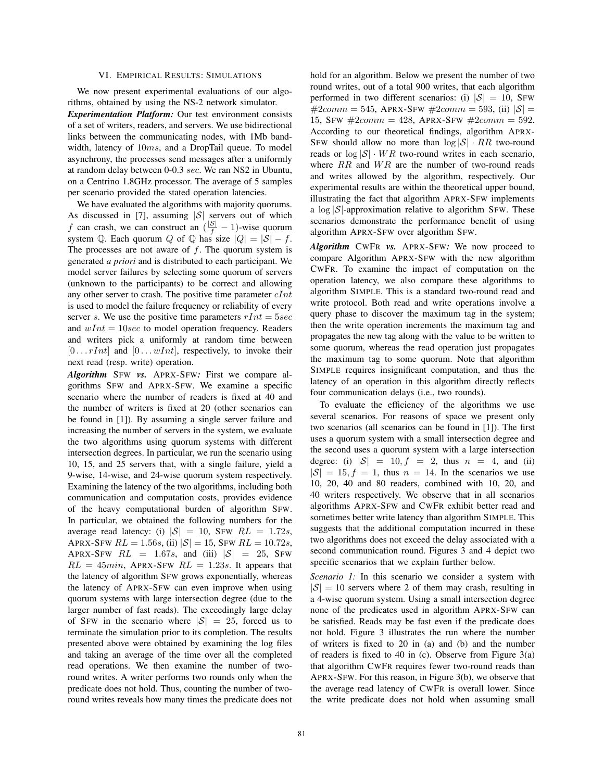## VI. EMPIRICAL RESULTS: SIMULATIONS

We now present experimental evaluations of our algorithms, obtained by using the NS-2 network simulator.

*Experimentation Platform:* Our test environment consists of a set of writers, readers, and servers. We use bidirectional links between the communicating nodes, with 1Mb bandwidth, latency of 10ms, and a DropTail queue. To model asynchrony, the processes send messages after a uniformly at random delay between 0-0.3 sec. We ran NS2 in Ubuntu, on a Centrino 1.8GHz processor. The average of 5 samples per scenario provided the stated operation latencies.

We have evaluated the algorithms with majority quorums. As discussed in [7], assuming  $|S|$  servers out of which f can crash, we can construct an  $\left(\frac{|\mathcal{S}|}{f} - 1\right)$ -wise quorum<br>system  $\bigcirc$ . Each quorum  $\bigcirc$  of  $\bigcirc$  has size  $\bigcirc$   $\bigcirc$  =  $\bigcirc$  f system Q. Each quorum Q of Q has size  $|Q| = |S| - f$ .<br>The processes are not aware of f. The quorum system is The processes are not aware of  $f$ . The quorum system is generated *a priori* and is distributed to each participant. We model server failures by selecting some quorum of servers (unknown to the participants) to be correct and allowing any other server to crash. The positive time parameter  $cInt$ is used to model the failure frequency or reliability of every server s. We use the positive time parameters  $rInt = 5sec$ and  $wInt = 10sec$  to model operation frequency. Readers and writers pick a uniformly at random time between  $[0 \dots rInt]$  and  $[0 \dots wInt]$ , respectively, to invoke their next read (resp. write) operation.

*Algorithm* SFW *vs.* APRX-SFW*:* First we compare algorithms SFW and APRX-SFW. We examine a specific scenario where the number of readers is fixed at 40 and the number of writers is fixed at 20 (other scenarios can be found in [1]). By assuming a single server failure and increasing the number of servers in the system, we evaluate the two algorithms using quorum systems with different intersection degrees. In particular, we run the scenario using 10, 15, and 25 servers that, with a single failure, yield a 9-wise, 14-wise, and 24-wise quorum system respectively. Examining the latency of the two algorithms, including both communication and computation costs, provides evidence of the heavy computational burden of algorithm SFW. In particular, we obtained the following numbers for the average read latency: (i)  $|S| = 10$ , SFW  $RL = 1.72s$ , APRX-SFW  $RL = 1.56s$ , (ii)  $|S| = 15$ , SFW  $RL = 10.72s$ , APRX-SFW  $RL = 1.67s$ , and (iii)  $|S| = 25$ , SFW  $RL = 45min$ , APRX-SFW  $RL = 1.23s$ . It appears that the latency of algorithm SFW grows exponentially, whereas the latency of APRX-SFW can even improve when using quorum systems with large intersection degree (due to the larger number of fast reads). The exceedingly large delay of SFW in the scenario where  $|S| = 25$ , forced us to terminate the simulation prior to its completion. The results presented above were obtained by examining the log files and taking an average of the time over all the completed read operations. We then examine the number of tworound writes. A writer performs two rounds only when the predicate does not hold. Thus, counting the number of tworound writes reveals how many times the predicate does not hold for an algorithm. Below we present the number of two round writes, out of a total 900 writes, that each algorithm performed in two different scenarios: (i)  $|S| = 10$ , SFW  $#2comm = 545$ , APRX-SFW  $#2comm = 593$ , (ii)  $|S|$ 15, SFW  $#2comm = 428$ , APRX-SFW  $#2comm = 592$ . According to our theoretical findings, algorithm APRX-SFW should allow no more than  $\log |\mathcal{S}| \cdot RR$  two-round reads or  $\log |\mathcal{S}| \cdot WR$  two-round writes in each scenario, where  $RR$  and  $WR$  are the number of two-round reads and writes allowed by the algorithm, respectively. Our experimental results are within the theoretical upper bound, illustrating the fact that algorithm APRX-SFW implements a  $\log |\mathcal{S}|$ -approximation relative to algorithm SFW. These scenarios demonstrate the performance benefit of using algorithm APRX-SFW over algorithm SFW.

*Algorithm* CWFR *vs.* APRX-SFW*:* We now proceed to compare Algorithm APRX-SFW with the new algorithm CWFR. To examine the impact of computation on the operation latency, we also compare these algorithms to algorithm SIMPLE. This is a standard two-round read and write protocol. Both read and write operations involve a query phase to discover the maximum tag in the system; then the write operation increments the maximum tag and propagates the new tag along with the value to be written to some quorum, whereas the read operation just propagates the maximum tag to some quorum. Note that algorithm SIMPLE requires insignificant computation, and thus the latency of an operation in this algorithm directly reflects four communication delays (i.e., two rounds).

To evaluate the efficiency of the algorithms we use several scenarios. For reasons of space we present only two scenarios (all scenarios can be found in [1]). The first uses a quorum system with a small intersection degree and the second uses a quorum system with a large intersection degree: (i)  $|S| = 10$ ,  $f = 2$ , thus  $n = 4$ , and (ii)  $|S| = 15$ ,  $f = 1$ , thus  $n = 14$ . In the scenarios we use 10, 20, 40 and 80 readers, combined with 10, 20, and 40 writers respectively. We observe that in all scenarios algorithms APRX-SFW and CWFR exhibit better read and sometimes better write latency than algorithm SIMPLE. This suggests that the additional computation incurred in these two algorithms does not exceed the delay associated with a second communication round. Figures 3 and 4 depict two specific scenarios that we explain further below.

*Scenario 1:* In this scenario we consider a system with  $|\mathcal{S}| = 10$  servers where 2 of them may crash, resulting in a 4-wise quorum system. Using a small intersection degree none of the predicates used in algorithm APRX-SFW can be satisfied. Reads may be fast even if the predicate does not hold. Figure 3 illustrates the run where the number of writers is fixed to 20 in (a) and (b) and the number of readers is fixed to 40 in (c). Observe from Figure 3(a) that algorithm CWFR requires fewer two-round reads than APRX-SFW. For this reason, in Figure 3(b), we observe that the average read latency of CWFR is overall lower. Since the write predicate does not hold when assuming small